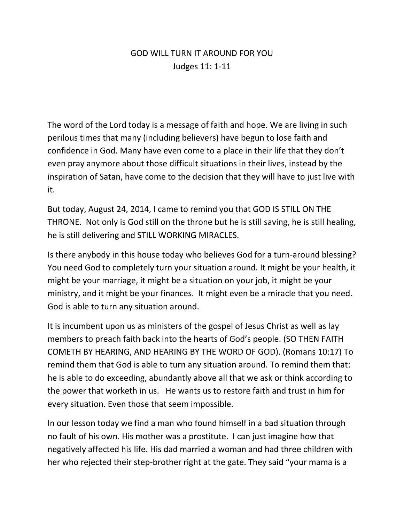## GOD WILL TURN IT AROUND FOR YOU Judges 11: 1-11

The word of the Lord today is a message of faith and hope. We are living in such perilous times that many (including believers) have begun to lose faith and confidence in God. Many have even come to a place in their life that they don't even pray anymore about those difficult situations in their lives, instead by the inspiration of Satan, have come to the decision that they will have to just live with it.

But today, August 24, 2014, I came to remind you that GOD IS STILL ON THE THRONE. Not only is God still on the throne but he is still saving, he is still healing, he is still delivering and STILL WORKING MIRACLES.

Is there anybody in this house today who believes God for a turn-around blessing? You need God to completely turn your situation around. It might be your health, it might be your marriage, it might be a situation on your job, it might be your ministry, and it might be your finances. It might even be a miracle that you need. God is able to turn any situation around.

It is incumbent upon us as ministers of the gospel of Jesus Christ as well as lay members to preach faith back into the hearts of God's people. (SO THEN FAITH COMETH BY HEARING, AND HEARING BY THE WORD OF GOD). (Romans 10:17) To remind them that God is able to turn any situation around. To remind them that: he is able to do exceeding, abundantly above all that we ask or think according to the power that worketh in us. He wants us to restore faith and trust in him for every situation. Even those that seem impossible.

In our lesson today we find a man who found himself in a bad situation through no fault of his own. His mother was a prostitute. I can just imagine how that negatively affected his life. His dad married a woman and had three children with her who rejected their step-brother right at the gate. They said "your mama is a